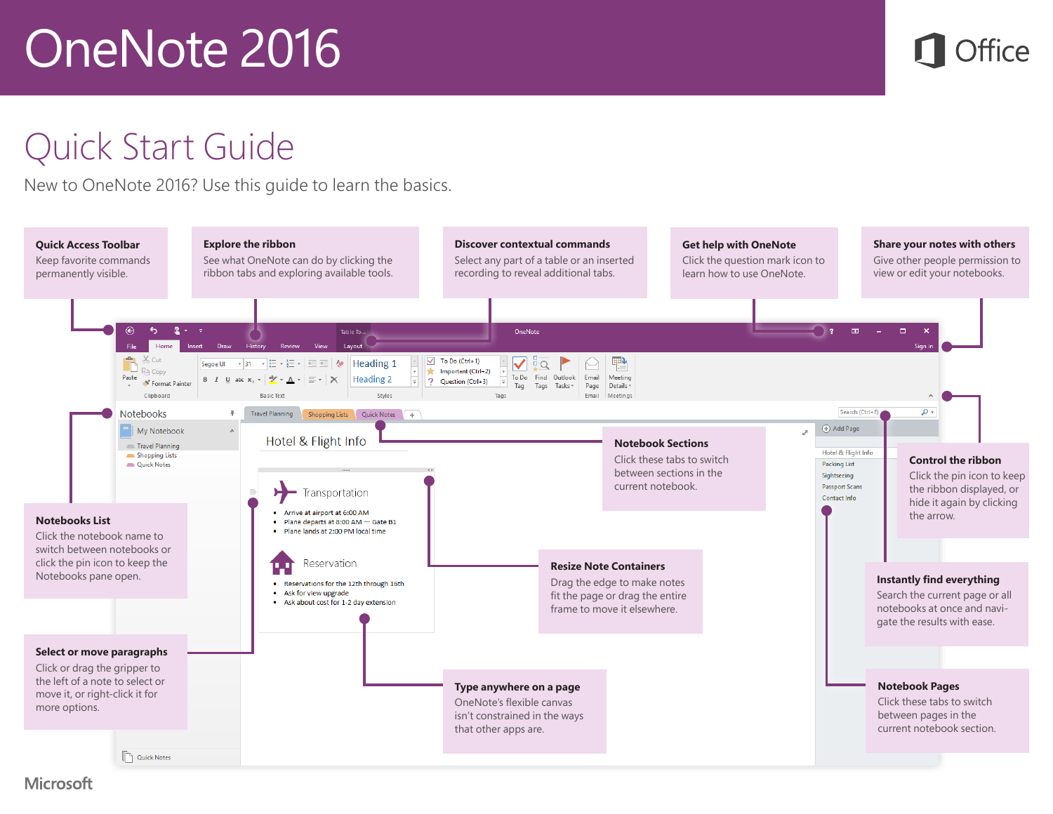

#### Quick Start Guide

New to OneNote 2016? Use this guide to learn the basics.



**Microsoft**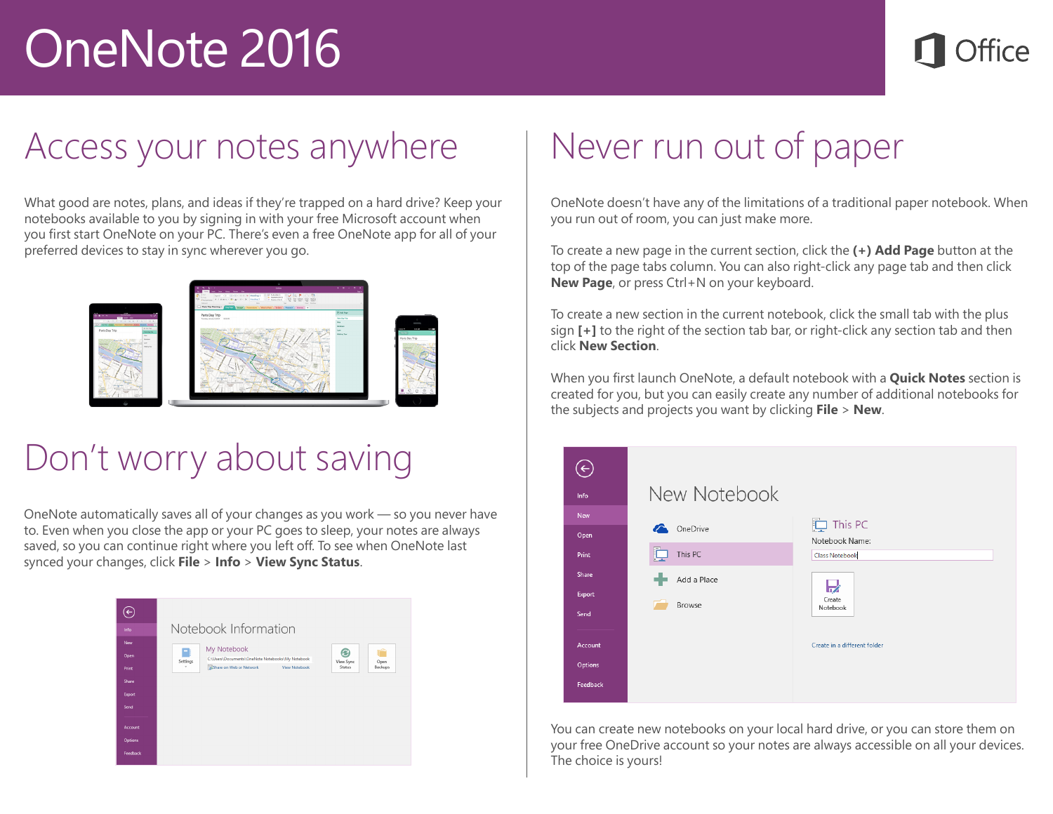#### Access your notes anywhere

What good are notes, plans, and ideas if they're trapped on a hard drive? Keep your notebooks available to you by signing in with your free Microsoft account when you first start OneNote on your PC. There's even a free OneNote app for all of your preferred devices to stay in sync wherever you go.



### Don't worry about saving

OneNote automatically saves all of your changes as you work — so you never have to. Even when you close the app or your PC goes to sleep, your notes are always saved, so you can continue right where you left off. To see when OneNote last synced your changes, click **File** > **Info** > **View Sync Status**.



## Never run out of paper

OneNote doesn't have any of the limitations of a traditional paper notebook. When you run out of room, you can just make more.

To create a new page in the current section, click the **(+) Add Page** button at the top of the page tabs column. You can also right-click any page tab and then click **New Page**, or press Ctrl+N on your keyboard.

To create a new section in the current notebook, click the small tab with the plus sign **[+]** to the right of the section tab bar, or right-click any section tab and then click **New Section**.

When you first launch OneNote, a default notebook with a **Quick Notes** section is created for you, but you can easily create any number of additional notebooks for the subjects and projects you want by clicking **File** > **New**.



You can create new notebooks on your local hard drive, or you can store them on your free OneDrive account so your notes are always accessible on all your devices. The choice is yours!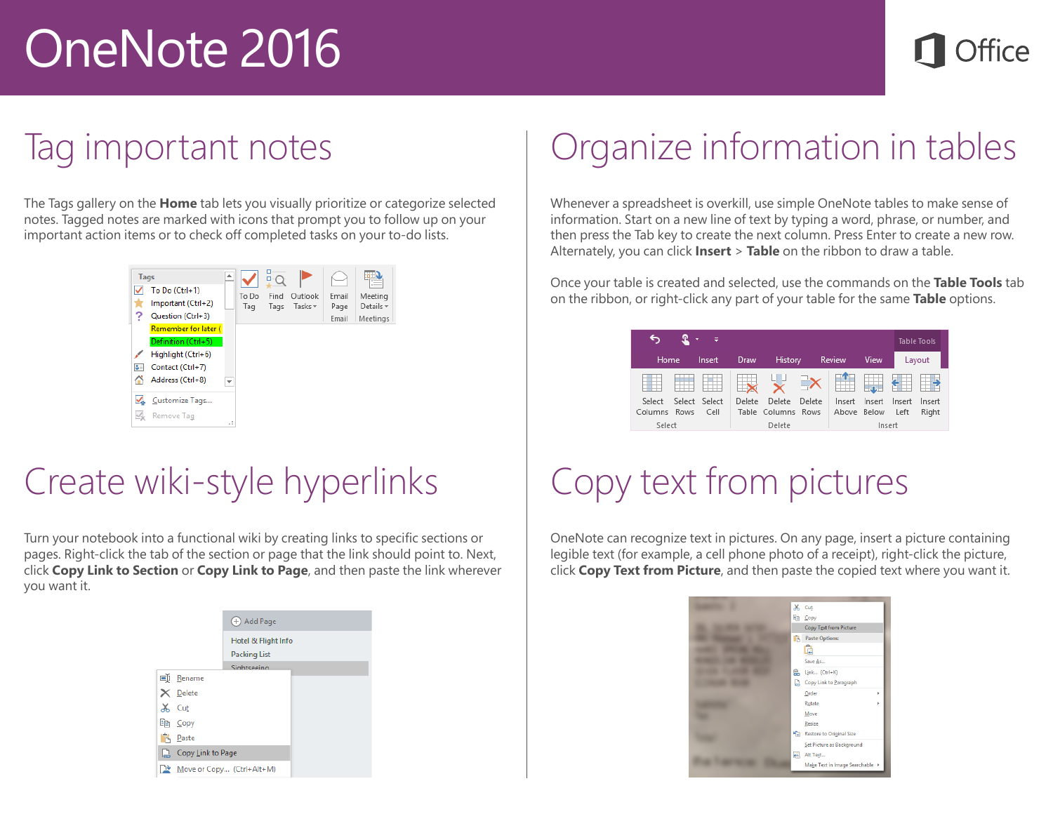#### Tag important notes

The Tags gallery on the **Home** tab lets you visually prioritize or categorize selected notes. Tagged notes are marked with icons that prompt you to follow up on your important action items or to check off completed tasks on your to-do lists.



### Create wiki-style hyperlinks

Turn your notebook into a functional wiki by creating links to specific sections or pages. Right-click the tab of the section or page that the link should point to. Next, click **Copy Link to Section** or **Copy Link to Page**, and then paste the link wherever you want it.

|          |                   | <b>+</b> Add Page                          |
|----------|-------------------|--------------------------------------------|
|          |                   | Hotel & Flight Info<br><b>Packing List</b> |
|          |                   | Sightseeing                                |
|          | 画 Rename          |                                            |
|          | $\times$ Delete   |                                            |
| X.       | Cut               |                                            |
|          | ling Copy         |                                            |
| Ĝ        | Paste             |                                            |
|          | Copy Link to Page |                                            |
| <u>n</u> |                   | Move or Copy (Ctrl+Alt+M)                  |

### Organize information in tables

Whenever a spreadsheet is overkill, use simple OneNote tables to make sense of information. Start on a new line of text by typing a word, phrase, or number, and then press the Tab key to create the next column. Press Enter to create a new row. Alternately, you can click **Insert** > **Table** on the ribbon to draw a table.

Once your table is created and selected, use the commands on the **Table Tools** tab on the ribbon, or right-click any part of your table for the same **Table** options.

| ÷                      |  |                       |        |                              |        |                       |        | <b>Table Tools</b> |                 |
|------------------------|--|-----------------------|--------|------------------------------|--------|-----------------------|--------|--------------------|-----------------|
| Home.                  |  | Insert                | Draw   | History                      |        | Review                | View   |                    | Layout          |
|                        |  |                       |        | 니니                           |        |                       | 最      |                    |                 |
| Select<br>Columns Rows |  | Select Select<br>Cell | Delete | Delete<br>Table Columns Rows | Delete | Insert<br>Above Below | Insert | Insert<br>Left     | Insert<br>Right |
| Select                 |  |                       |        | Delete                       |        |                       | Insert |                    |                 |

## Copy text from pictures

OneNote can recognize text in pictures. On any page, insert a picture containing legible text (for example, a cell phone photo of a receipt), right-click the picture, click **Copy Text from Picture**, and then paste the copied text where you want it.